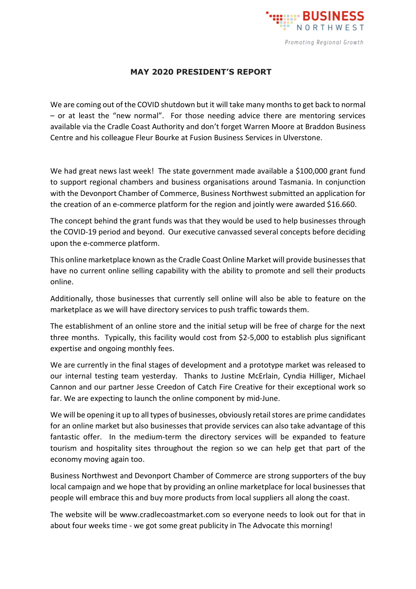

## **MAY 2020 PRESIDENT'S REPORT**

We are coming out of the COVID shutdown but it will take many months to get back to normal – or at least the "new normal". For those needing advice there are mentoring services available via the Cradle Coast Authority and don't forget Warren Moore at Braddon Business Centre and his colleague Fleur Bourke at Fusion Business Services in Ulverstone.

We had great news last week! The state government made available a \$100,000 grant fund to support regional chambers and business organisations around Tasmania. In conjunction with the Devonport Chamber of Commerce, Business Northwest submitted an application for the creation of an e-commerce platform for the region and jointly were awarded \$16.660.

The concept behind the grant funds was that they would be used to help businesses through the COVID-19 period and beyond. Our executive canvassed several concepts before deciding upon the e-commerce platform.

This online marketplace known as the Cradle Coast Online Market will provide businesses that have no current online selling capability with the ability to promote and sell their products online.

Additionally, those businesses that currently sell online will also be able to feature on the marketplace as we will have directory services to push traffic towards them.

The establishment of an online store and the initial setup will be free of charge for the next three months. Typically, this facility would cost from \$2-5,000 to establish plus significant expertise and ongoing monthly fees.

We are currently in the final stages of development and a prototype market was released to our internal testing team yesterday. Thanks to Justine McErlain, Cyndia Hilliger, Michael Cannon and our partner Jesse Creedon of Catch Fire Creative for their exceptional work so far. We are expecting to launch the online component by mid-June.

We will be opening it up to all types of businesses, obviously retail stores are prime candidates for an online market but also businesses that provide services can also take advantage of this fantastic offer. In the medium-term the directory services will be expanded to feature tourism and hospitality sites throughout the region so we can help get that part of the economy moving again too.

Business Northwest and Devonport Chamber of Commerce are strong supporters of the buy local campaign and we hope that by providing an online marketplace for local businesses that people will embrace this and buy more products from local suppliers all along the coast.

The website will be www.cradlecoastmarket.com so everyone needs to look out for that in about four weeks time - we got some great publicity in The Advocate this morning!